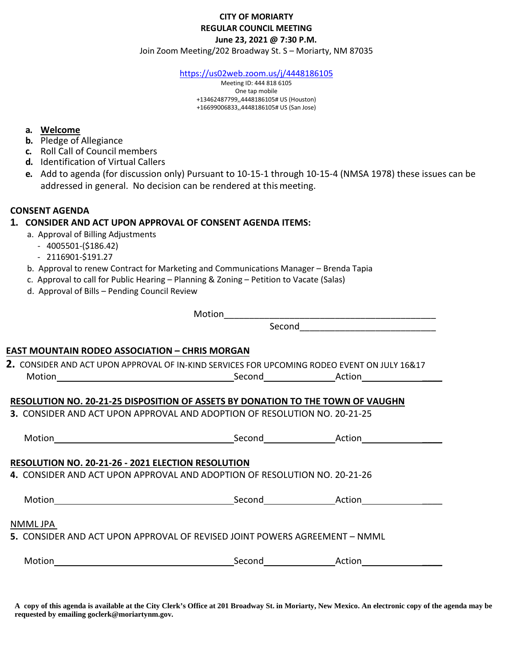#### **CITY OF MORIARTY REGULAR COUNCIL MEETING June 23, 2021 @ 7:30 P.M.**

Join Zoom Meeting/202 Broadway St. S – Moriarty, NM 87035

<https://us02web.zoom.us/j/4448186105>

Meeting ID: 444 818 6105 One tap mobile +13462487799,,4448186105# US (Houston) +16699006833,,4448186105# US (San Jose)

#### **a. Welcome**

- **b.** Pledge of Allegiance
- **c.** Roll Call of Council members
- **d.** Identification of Virtual Callers
- **e.** Add to agenda (for discussion only) Pursuant to 10-15-1 through 10-15-4 (NMSA 1978) these issues can be addressed in general. No decision can be rendered at thismeeting.

#### **CONSENT AGENDA**

### **1. CONSIDER AND ACT UPON APPROVAL OF CONSENT AGENDA ITEMS:**

- a. Approval of Billing Adjustments
- 4005501-(\$186.42)
- 2116901-\$191.27
- b. Approval to renew Contract for Marketing and Communications Manager Brenda Tapia
- c. Approval to call for Public Hearing Planning & Zoning Petition to Vacate (Salas)
- d. Approval of Bills Pending Council Review

Motion

Second\_\_\_\_\_\_\_\_\_\_\_\_\_\_\_\_\_\_\_\_\_\_\_\_\_\_\_

### **EAST MOUNTAIN RODEO ASSOCIATION – CHRIS MORGAN**

| 2. CONSIDER AND ACT UPON APPROVAL OF IN-KIND SERVICES FOR UPCOMING RODEO EVENT ON JULY 16&17 |        |        |
|----------------------------------------------------------------------------------------------|--------|--------|
| Motion                                                                                       | Second | Action |

### **RESOLUTION NO. 20-21-25 DISPOSITION OF ASSETS BY DONATION TO THE TOWN OF VAUGHN**

**3.** CONSIDER AND ACT UPON APPROVAL AND ADOPTION OF RESOLUTION NO. 20-21-25

| Motion                                                                                 | Second | Action |  |
|----------------------------------------------------------------------------------------|--------|--------|--|
| <b>RESOLUTION NO. 20-21-26 - 2021 ELECTION RESOLUTION</b>                              |        |        |  |
| <b>4.</b> CONSIDER AND ACT UPON APPROVAL AND ADOPTION OF RESOLUTION NO. 20-21-26       |        |        |  |
| Motion                                                                                 | Second | Action |  |
| NMML JPA<br>5. CONSIDER AND ACT UPON APPROVAL OF REVISED JOINT POWERS AGREEMENT – NMML |        |        |  |
| Motion                                                                                 | Second | Action |  |

**A copy of this agenda is available at the City Clerk's Office at 201 Broadway St. in Moriarty, New Mexico. An electronic copy of the agenda may be requested by emailing goclerk@moriartynm.gov.**